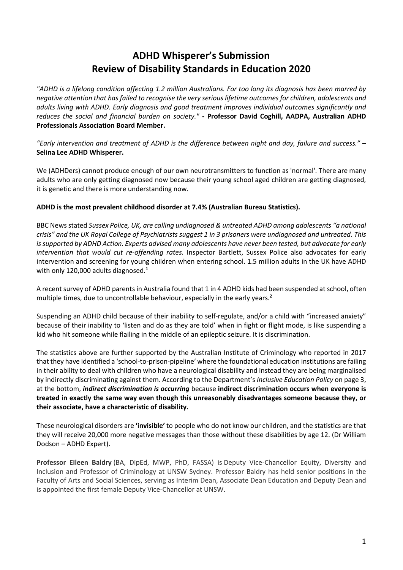# **ADHD Whisperer's Submission Review of Disability Standards in Education 2020**

*"ADHD is a lifelong condition affecting 1.2 million Australians. For too long its diagnosis has been marred by negative attention that has failed to recognise the very serious lifetime outcomes for children, adolescents and adults living with ADHD. Early diagnosis and good treatment improves individual outcomes significantly and reduces the social and financial burden on society."* **- Professor David Coghill, AADPA, Australian ADHD Professionals Association Board Member.**

*"Early intervention and treatment of ADHD is the difference between night and day, failure and success."* **– Selina Lee ADHD Whisperer.** 

We (ADHDers) cannot produce enough of our own neurotransmitters to function as 'normal'. There are many adults who are only getting diagnosed now because their young school aged children are getting diagnosed, it is genetic and there is more understanding now.

## **ADHD is the most prevalent childhood disorder at 7.4% (Australian Bureau Statistics).**

BBC News stated *Sussex Police, UK, are calling undiagnosed & untreated ADHD among adolescents "a national crisis" and the UK Royal College of Psychiatrists suggest 1 in 3 prisoners were undiagnosed and untreated. This is supported by ADHD Action. Experts advised many adolescents have never been tested, but advocate for early intervention that would cut re-offending rates.* Inspector Bartlett, Sussex Police also advocates for early intervention and screening for young children when entering school. 1.5 million adults in the UK have ADHD with only 120,000 adults diagnosed*.* **1**

A recent survey of ADHD parents in Australia found that 1 in 4 ADHD kids had been suspended at school, often multiple times, due to uncontrollable behaviour, especially in the early years.**<sup>2</sup>**

Suspending an ADHD child because of their inability to self-regulate, and/or a child with "increased anxiety" because of their inability to 'listen and do as they are told' when in fight or flight mode, is like suspending a kid who hit someone while flailing in the middle of an epileptic seizure. It is discrimination.

The statistics above are further supported by the Australian Institute of Criminology who reported in 2017 that they have identified a 'school-to-prison-pipeline' where the foundational education institutions are failing in their ability to deal with children who have a neurological disability and instead they are being marginalised by indirectly discriminating against them. According to the Department's *Inclusive Education Policy* on page 3, at the bottom, *indirect discrimination is occurring* because **indirect discrimination occurs when everyone is treated in exactly the same way even though this unreasonably disadvantages someone because they, or their associate, have a characteristic of disability.** 

These neurological disorders are **'invisible'** to people who do not know our children, and the statistics are that they will receive 20,000 more negative messages than those without these disabilities by age 12. (Dr William Dodson – ADHD Expert).

**Professor Eileen Baldry** (BA, DipEd, MWP, PhD, FASSA) is Deputy Vice-Chancellor Equity, Diversity and Inclusion and Professor of Criminology at UNSW Sydney. Professor Baldry has held senior positions in the Faculty of Arts and Social Sciences, serving as Interim Dean, Associate Dean Education and Deputy Dean and is appointed the first female Deputy Vice-Chancellor at UNSW.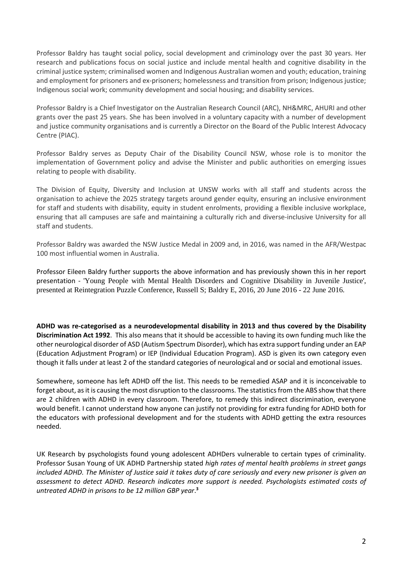Professor Baldry has taught social policy, social development and criminology over the past 30 years. Her research and publications focus on social justice and include mental health and cognitive disability in the criminal justice system; criminalised women and Indigenous Australian women and youth; education, training and employment for prisoners and ex-prisoners; homelessness and transition from prison; Indigenous justice; Indigenous social work; community development and social housing; and disability services.

Professor Baldry is a Chief Investigator on the Australian Research Council (ARC), NH&MRC, AHURI and other grants over the past 25 years. She has been involved in a voluntary capacity with a number of development and justice community organisations and is currently a Director on the Board of the Public Interest Advocacy Centre (PIAC).

Professor Baldry serves as Deputy Chair of the Disability Council NSW, whose role is to monitor the implementation of Government policy and advise the Minister and public authorities on emerging issues relating to people with disability.

The Division of Equity, Diversity and Inclusion at UNSW works with all staff and students across the organisation to achieve the 2025 strategy targets around gender equity, ensuring an inclusive environment for staff and students with disability, equity in student enrolments, providing a flexible inclusive workplace, ensuring that all campuses are safe and maintaining a culturally rich and diverse-inclusive University for all staff and students.

Professor Baldry was awarded the NSW Justice Medal in 2009 and, in 2016, was named in the AFR/Westpac 100 most influential women in Australia.

Professor Eileen Baldry further supports the above information and has previously shown this in her report presentation - 'Young People with Mental Health Disorders and Cognitive Disability in Juvenile Justice', presented at Reintegration Puzzle Conference, Russell S; Baldry E, 2016, 20 June 2016 - 22 June 2016.

**ADHD was re-categorised as a neurodevelopmental disability in 2013 and thus covered by the Disability Discrimination Act 1992**. This also means that it should be accessible to having its own funding much like the other neurological disorder of ASD (Autism Spectrum Disorder), which has extra support funding under an EAP (Education Adjustment Program) or IEP (Individual Education Program). ASD is given its own category even though it falls under at least 2 of the standard categories of neurological and or social and emotional issues.

Somewhere, someone has left ADHD off the list. This needs to be remedied ASAP and it is inconceivable to forget about, as it is causing the most disruption to the classrooms. The statistics from the ABS show that there are 2 children with ADHD in every classroom. Therefore, to remedy this indirect discrimination, everyone would benefit. I cannot understand how anyone can justify not providing for extra funding for ADHD both for the educators with professional development and for the students with ADHD getting the extra resources needed.

UK Research by psychologists found young adolescent ADHDers vulnerable to certain types of criminality. Professor Susan Young of UK ADHD Partnership stated *high rates of mental health problems in street gangs included ADHD. The Minister of Justice said it takes duty of care seriously and every new prisoner is given an assessment to detect ADHD. Research indicates more support is needed. Psychologists estimated costs of untreated ADHD in prisons to be 12 million GBP year*. **3**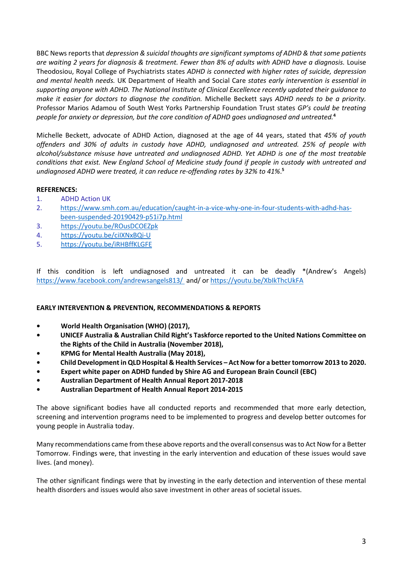BBC News reports that *depression & suicidal thoughts are significant symptoms of ADHD & that some patients are waiting 2 years for diagnosis & treatment. Fewer than 8% of adults with ADHD have a diagnosis.* Louise Theodosiou, Royal College of Psychiatrists states *ADHD is connected with higher rates of suicide, depression and mental health needs.* UK Department of Health and Social Care *states early intervention is essential in supporting anyone with ADHD. The National Institute of Clinical Excellence recently updated their guidance to make it easier for doctors to diagnose the condition.* Michelle Beckett says *ADHD needs to be a priority.*  Professor Marios Adamou of South West Yorks Partnership Foundation Trust states *GP's could be treating people for anxiety or depression, but the core condition of ADHD goes undiagnosed and untreated.***<sup>4</sup>**

Michelle Beckett, advocate of ADHD Action, diagnosed at the age of 44 years, stated that *45% of youth offenders and 30% of adults in custody have ADHD, undiagnosed and untreated. 25% of people with alcohol/substance misuse have untreated and undiagnosed ADHD. Yet ADHD is one of the most treatable conditions that exist. New England School of Medicine study found if people in custody with untreated and undiagnosed ADHD were treated, it can reduce re-offending rates by 32% to 41%*. **5**

## **REFERENCES:**

- 1. ADHD Action UK
- 2. [https://www.smh.com.au/education/caught-in-a-vice-why-one-in-four-students-with-adhd-has](https://www.smh.com.au/education/caught-in-a-vice-why-one-in-four-students-with-adhd-has-been-suspended-20190429-p51i7p.html)[been-suspended-20190429-p51i7p.html](https://www.smh.com.au/education/caught-in-a-vice-why-one-in-four-students-with-adhd-has-been-suspended-20190429-p51i7p.html)
- 3. <https://youtu.be/ROusDCOEZpk>
- 4. <https://youtu.be/ciIXNxBQi-U>
- 5. <https://youtu.be/iRHBffKLGFE>

If this condition is left undiagnosed and untreated it can be deadly \*(Andrew's Angels) <https://www.facebook.com/andrewsangels813/>and/ or<https://youtu.be/XbIkThcUkFA>

### **EARLY INTERVENTION & PREVENTION, RECOMMENDATIONS & REPORTS**

- **World Health Organisation (WHO) (2017),**
- **UNICEF Australia & Australian Child Right's Taskforce reported to the United Nations Committee on the Rights of the Child in Australia (November 2018),**
- **KPMG for Mental Health Australia (May 2018),**
- **Child Development in QLD Hospital & Health Services Act Now for a better tomorrow 2013 to 2020.**
- **Expert white paper on ADHD funded by Shire AG and European Brain Council (EBC)**
- **Australian Department of Health Annual Report 2017-2018**
- **Australian Department of Health Annual Report 2014-2015**

The above significant bodies have all conducted reports and recommended that more early detection, screening and intervention programs need to be implemented to progress and develop better outcomes for young people in Australia today.

Many recommendations came from these above reports and the overall consensus was to Act Now for a Better Tomorrow. Findings were, that investing in the early intervention and education of these issues would save lives. (and money).

The other significant findings were that by investing in the early detection and intervention of these mental health disorders and issues would also save investment in other areas of societal issues.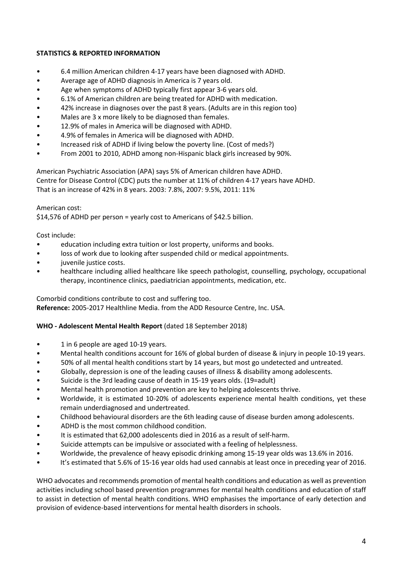## **STATISTICS & REPORTED INFORMATION**

- 6.4 million American children 4-17 years have been diagnosed with ADHD.
- Average age of ADHD diagnosis in America is 7 years old.
- Age when symptoms of ADHD typically first appear 3-6 years old.
- 6.1% of American children are being treated for ADHD with medication.
- 42% increase in diagnoses over the past 8 years. (Adults are in this region too)
- Males are 3 x more likely to be diagnosed than females.
- 12.9% of males in America will be diagnosed with ADHD.
- 4.9% of females in America will be diagnosed with ADHD.
- Increased risk of ADHD if living below the poverty line. (Cost of meds?)
- From 2001 to 2010, ADHD among non-Hispanic black girls increased by 90%.

American Psychiatric Association (APA) says 5% of American children have ADHD. Centre for Disease Control (CDC) puts the number at 11% of children 4-17 years have ADHD. That is an increase of 42% in 8 years. 2003: 7.8%, 2007: 9.5%, 2011: 11%

### American cost:

\$14,576 of ADHD per person = yearly cost to Americans of \$42.5 billion.

## Cost include:

- education including extra tuition or lost property, uniforms and books.
- loss of work due to looking after suspended child or medical appointments.
- juvenile justice costs.
- healthcare including allied healthcare like speech pathologist, counselling, psychology, occupational therapy, incontinence clinics, paediatrician appointments, medication, etc.

### Comorbid conditions contribute to cost and suffering too.

**Reference:** 2005-2017 Healthline Media. from the ADD Resource Centre, Inc. USA.

## **WHO - Adolescent Mental Health Report** (dated 18 September 2018)

- 1 in 6 people are aged 10-19 years.
- Mental health conditions account for 16% of global burden of disease & injury in people 10-19 years.
- 50% of all mental health conditions start by 14 years, but most go undetected and untreated.
- Globally, depression is one of the leading causes of illness & disability among adolescents.
- Suicide is the 3rd leading cause of death in 15-19 years olds. (19=adult)
- Mental health promotion and prevention are key to helping adolescents thrive.
- Worldwide, it is estimated 10-20% of adolescents experience mental health conditions, yet these remain underdiagnosed and undertreated.
- Childhood behavioural disorders are the 6th leading cause of disease burden among adolescents.
- ADHD is the most common childhood condition.
- It is estimated that 62,000 adolescents died in 2016 as a result of self-harm.
- Suicide attempts can be impulsive or associated with a feeling of helplessness.
- Worldwide, the prevalence of heavy episodic drinking among 15-19 year olds was 13.6% in 2016.
- It's estimated that 5.6% of 15-16 year olds had used cannabis at least once in preceding year of 2016.

WHO advocates and recommends promotion of mental health conditions and education as well as prevention activities including school based prevention programmes for mental health conditions and education of staff to assist in detection of mental health conditions. WHO emphasises the importance of early detection and provision of evidence-based interventions for mental health disorders in schools.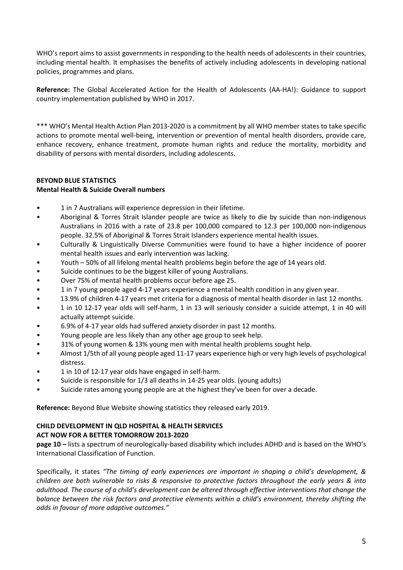WHO's report aims to assist governments in responding to the health needs of adolescents in their countries, including mental health. It emphasises the benefits of actively including adolescents in developing national policies, programmes and plans.

**Reference:** The Global Accelerated Action for the Health of Adolescents (AA-HA!): Guidance to support country implementation published by WHO in 2017.

\*\*\* WHO's Mental Health Action Plan 2013-2020 is a commitment by all WHO member states to take specific actions to promote mental well-being, intervention or prevention of mental health disorders, provide care, enhance recovery, enhance treatment, promote human rights and reduce the mortality, morbidity and disability of persons with mental disorders, including adolescents.

## **BEYOND BLUE STATISTICS Mental Health & Suicide Overall numbers**

- 1 in 7 Australians will experience depression in their lifetime.
- Aboriginal & Torres Strait Islander people are twice as likely to die by suicide than non-indigenous Australians in 2016 with a rate of 23.8 per 100,000 compared to 12.3 per 100,000 non-indigenous people. 32.5% of Aboriginal & Torres Strait Islanders experience mental health issues.
- Culturally & Linguistically Diverse Communities were found to have a higher incidence of poorer mental health issues and early intervention was lacking.
- Youth 50% of all lifelong mental health problems begin before the age of 14 years old.
- Suicide continues to be the biggest killer of young Australians.
- Over 75% of mental health problems occur before age 25.
- 1 in 7 young people aged 4-17 years experience a mental health condition in any given year.
- 13.9% of children 4-17 years met criteria for a diagnosis of mental health disorder in last 12 months.
- 1 in 10 12-17 year olds will self-harm, 1 in 13 will seriously consider a suicide attempt, 1 in 40 will actually attempt suicide.
- 6.9% of 4-17 year olds had suffered anxiety disorder in past 12 months.
- Young people are less likely than any other age group to seek help.
- 31% of young women & 13% young men with mental health problems sought help.
- Almost 1/5th of all young people aged 11-17 years experience high or very high levels of psychological distress.
- 1 in 10 of 12-17 year olds have engaged in self-harm.
- Suicide is responsible for 1/3 all deaths in 14-25 year olds. (young adults)
- Suicide rates among young people are at the highest they've been for over a decade.

**Reference:** Beyond Blue Website showing statistics they released early 2019.

### **CHILD DEVELOPMENT IN QLD HOSPITAL & HEALTH SERVICES ACT NOW FOR A BETTER TOMORROW 2013-2020**

**page 10 –** lists a spectrum of neurologically-based disability which includes ADHD and is based on the WHO's International Classification of Function.

Specifically, it states *"The timing of early experiences are important in shaping a child's development, & children are both vulnerable to risks & responsive to protective factors throughout the early years & into adulthood. The course of a child's development can be altered through effective interventions that change the balance between the risk factors and protective elements within a child's environment, thereby shifting the odds in favour of more adaptive outcomes."*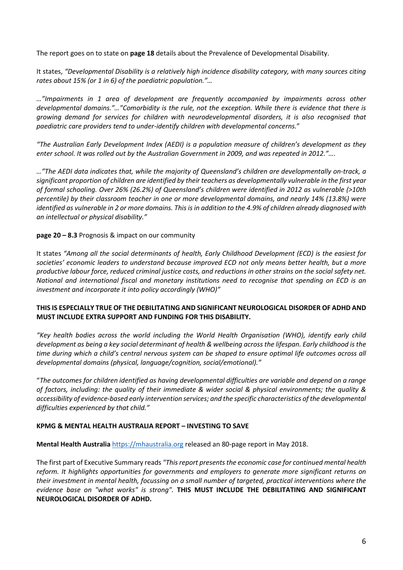The report goes on to state on **page 18** details about the Prevalence of Developmental Disability.

It states, *"Developmental Disability is a relatively high incidence disability category, with many sources citing rates about 15% (or 1 in 6) of the paediatric population."…*

*…"Impairments in 1 area of development are frequently accompanied by impairments across other developmental domains."…"Comorbidity is the rule, not the exception. While there is evidence that there is growing demand for services for children with neurodevelopmental disorders, it is also recognised that paediatric care providers tend to under-identify children with developmental concerns.*"

*"The Australian Early Development Index (AEDI) is a population measure of children's development as they enter school. It was rolled out by the Australian Government in 2009, and was repeated in 2012."….* 

*…"The AEDI data indicates that, while the majority of Queensland's children are developmentally on-track, a significant proportion of children are identified by their teachers as developmentally vulnerable in the first year of formal schooling. Over 26% (26.2%) of Queensland's children were identified in 2012 as vulnerable (>10th percentile) by their classroom teacher in one or more developmental domains, and nearly 14% (13.8%) were identified as vulnerable in 2 or more domains. This is in addition to the 4.9% of children already diagnosed with an intellectual or physical disability."* 

## **page 20 – 8.3** Prognosis & impact on our community

It states *"Among all the social determinants of health, Early Childhood Development (ECD) is the easiest for societies' economic leaders to understand because improved ECD not only means better health, but a more productive labour force, reduced criminal justice costs, and reductions in other strains on the social safety net. National and international fiscal and monetary institutions need to recognise that spending on ECD is an investment and incorporate it into policy accordingly (WHO)"*

### **THIS IS ESPECIALLY TRUE OF THE DEBILITATING AND SIGNIFICANT NEUROLOGICAL DISORDER OF ADHD AND MUST INCLUDE EXTRA SUPPORT AND FUNDING FOR THIS DISABILITY.**

*"Key health bodies across the world including the World Health Organisation (WHO), identify early child development as being a key social determinant of health & wellbeing across the lifespan. Early childhood is the time during which a child's central nervous system can be shaped to ensure optimal life outcomes across all developmental domains (physical, language/cognition, social/emotional)."* 

"*The outcomes for children identified as having developmental difficulties are variable and depend on a range of factors, including: the quality of their immediate & wider social & physical environments; the quality & accessibility of evidence-based early intervention services; and the specific characteristics of the developmental difficulties experienced by that child."*

### **KPMG & MENTAL HEALTH AUSTRALIA REPORT – INVESTING TO SAVE**

**Mental Health Australia** [https://mhaustralia.org](https://mhaustralia.org/) released an 80-page report in May 2018.

The first part of Executive Summary reads *"This report presents the economic case for continued mental health reform. It highlights opportunities for governments and employers to generate more significant returns on their investment in mental health, focussing on a small number of targeted, practical interventions where the evidence base on "what works" is strong".* **THIS MUST INCLUDE THE DEBILITATING AND SIGNIFICANT NEUROLOGICAL DISORDER OF ADHD.**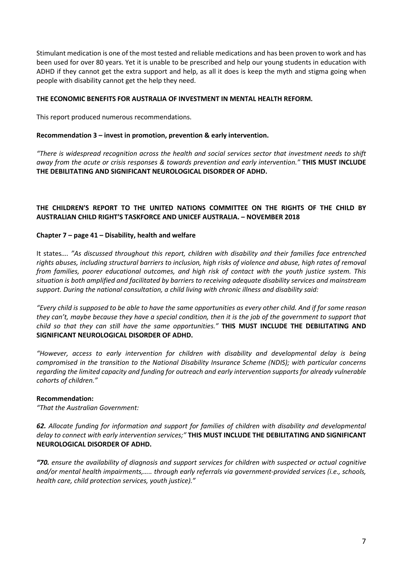Stimulant medication is one of the most tested and reliable medications and has been proven to work and has been used for over 80 years. Yet it is unable to be prescribed and help our young students in education with ADHD if they cannot get the extra support and help, as all it does is keep the myth and stigma going when people with disability cannot get the help they need.

#### **THE ECONOMIC BENEFITS FOR AUSTRALIA OF INVESTMENT IN MENTAL HEALTH REFORM.**

This report produced numerous recommendations.

#### **Recommendation 3 – invest in promotion, prevention & early intervention.**

*"There is widespread recognition across the health and social services sector that investment needs to shift away from the acute or crisis responses & towards prevention and early intervention."* **THIS MUST INCLUDE THE DEBILITATING AND SIGNIFICANT NEUROLOGICAL DISORDER OF ADHD.**

## **THE CHILDREN'S REPORT TO THE UNITED NATIONS COMMITTEE ON THE RIGHTS OF THE CHILD BY AUSTRALIAN CHILD RIGHT'S TASKFORCE AND UNICEF AUSTRALIA. – NOVEMBER 2018**

### **Chapter 7 – page 41 – Disability, health and welfare**

It states*…. "As discussed throughout this report, children with disability and their families face entrenched rights abuses, including structural barriers to inclusion, high risks of violence and abuse, high rates of removal from families, poorer educational outcomes, and high risk of contact with the youth justice system. This situation is both amplified and facilitated by barriers to receiving adequate disability services and mainstream support. During the national consultation, a child living with chronic illness and disability said:* 

*"Every child is supposed to be able to have the same opportunities as every other child. And if for some reason they can't, maybe because they have a special condition, then it is the job of the government to support that child so that they can still have the same opportunities."* **THIS MUST INCLUDE THE DEBILITATING AND SIGNIFICANT NEUROLOGICAL DISORDER OF ADHD.**

*"However, access to early intervention for children with disability and developmental delay is being compromised in the transition to the National Disability Insurance Scheme (NDIS); with particular concerns regarding the limited capacity and funding for outreach and early intervention supports for already vulnerable cohorts of children."* 

#### **Recommendation:**

*"That the Australian Government:* 

*62. Allocate funding for information and support for families of children with disability and developmental delay to connect with early intervention services;"* **THIS MUST INCLUDE THE DEBILITATING AND SIGNIFICANT NEUROLOGICAL DISORDER OF ADHD.**

*"70. ensure the availability of diagnosis and support services for children with suspected or actual cognitive and/or mental health impairments,….. through early referrals via government-provided services (i.e., schools, health care, child protection services, youth justice)."*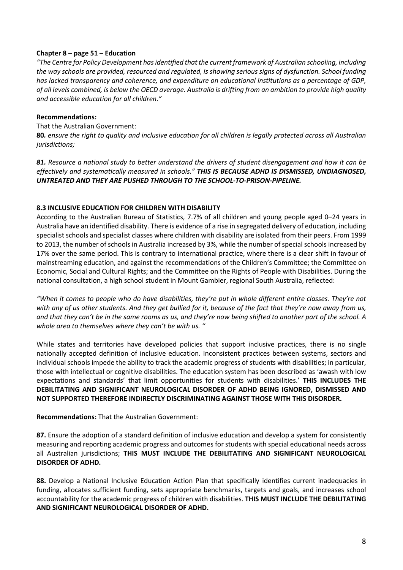## **Chapter 8 – page 51 – Education**

*"The Centre for Policy Development has identified that the current framework of Australian schooling, including the way schools are provided, resourced and regulated, is showing serious signs of dysfunction. School funding has lacked transparency and coherence, and expenditure on educational institutions as a percentage of GDP, of all levels combined, is below the OECD average. Australia is drifting from an ambition to provide high quality and accessible education for all children."* 

## **Recommendations:**

That the Australian Government:

**80***. ensure the right to quality and inclusive education for all children is legally protected across all Australian jurisdictions;* 

*81. Resource a national study to better understand the drivers of student disengagement and how it can be effectively and systematically measured in schools." THIS IS BECAUSE ADHD IS DISMISSED, UNDIAGNOSED, UNTREATED AND THEY ARE PUSHED THROUGH TO THE SCHOOL-TO-PRISON-PIPELINE.* 

### **8.3 INCLUSIVE EDUCATION FOR CHILDREN WITH DISABILITY**

According to the Australian Bureau of Statistics, 7.7% of all children and young people aged 0–24 years in Australia have an identified disability. There is evidence of a rise in segregated delivery of education, including specialist schools and specialist classes where children with disability are isolated from their peers. From 1999 to 2013, the number of schools in Australia increased by 3%, while the number of special schools increased by 17% over the same period. This is contrary to international practice, where there is a clear shift in favour of mainstreaming education, and against the recommendations of the Children's Committee; the Committee on Economic, Social and Cultural Rights; and the Committee on the Rights of People with Disabilities. During the national consultation, a high school student in Mount Gambier, regional South Australia, reflected:

*"When it comes to people who do have disabilities, they're put in whole different entire classes. They're not with any of us other students. And they get bullied for it, because of the fact that they're now away from us, and that they can't be in the same rooms as us, and they're now being shifted to another part of the school. A whole area to themselves where they can't be with us. "* 

While states and territories have developed policies that support inclusive practices, there is no single nationally accepted definition of inclusive education. Inconsistent practices between systems, sectors and individual schools impede the ability to track the academic progress of students with disabilities; in particular, those with intellectual or cognitive disabilities. The education system has been described as 'awash with low expectations and standards' that limit opportunities for students with disabilities.' **THIS INCLUDES THE DEBILITATING AND SIGNIFICANT NEUROLOGICAL DISORDER OF ADHD BEING IGNORED, DISMISSED AND NOT SUPPORTED THEREFORE INDIRECTLY DISCRIMINATING AGAINST THOSE WITH THIS DISORDER.**

**Recommendations:** That the Australian Government:

**87.** Ensure the adoption of a standard definition of inclusive education and develop a system for consistently measuring and reporting academic progress and outcomes for students with special educational needs across all Australian jurisdictions; **THIS MUST INCLUDE THE DEBILITATING AND SIGNIFICANT NEUROLOGICAL DISORDER OF ADHD.**

**88.** Develop a National Inclusive Education Action Plan that specifically identifies current inadequacies in funding, allocates sufficient funding, sets appropriate benchmarks, targets and goals, and increases school accountability for the academic progress of children with disabilities. **THIS MUST INCLUDE THE DEBILITATING AND SIGNIFICANT NEUROLOGICAL DISORDER OF ADHD.**